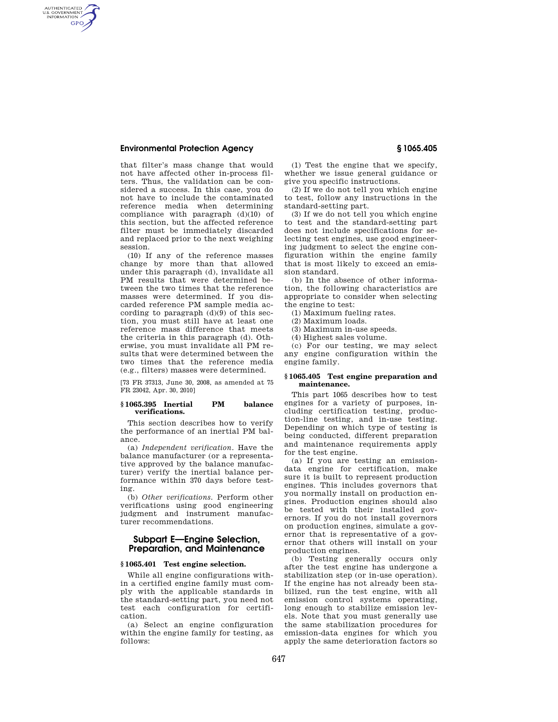# **Environmental Protection Agency § 1065.405**

AUTHENTICATED<br>U.S. GOVERNMENT<br>INFORMATION **GPO** 

> that filter's mass change that would not have affected other in-process filters. Thus, the validation can be considered a success. In this case, you do not have to include the contaminated reference media when determining compliance with paragraph (d)(10) of this section, but the affected reference filter must be immediately discarded and replaced prior to the next weighing session.

> (10) If any of the reference masses change by more than that allowed under this paragraph (d), invalidate all PM results that were determined between the two times that the reference masses were determined. If you discarded reference PM sample media according to paragraph  $(d)(9)$  of this section, you must still have at least one reference mass difference that meets the criteria in this paragraph (d). Otherwise, you must invalidate all PM results that were determined between the two times that the reference media (e.g., filters) masses were determined.

> [73 FR 37313, June 30, 2008, as amended at 75 FR 23042, Apr. 30, 2010]

### **§ 1065.395 Inertial PM balance verifications.**

This section describes how to verify the performance of an inertial PM balance.

(a) *Independent verification.* Have the balance manufacturer (or a representative approved by the balance manufacturer) verify the inertial balance performance within 370 days before testing.

(b) *Other verifications.* Perform other verifications using good engineering judgment and instrument manufacturer recommendations.

# **Subpart E—Engine Selection, Preparation, and Maintenance**

#### **§ 1065.401 Test engine selection.**

While all engine configurations within a certified engine family must comply with the applicable standards in the standard-setting part, you need not test each configuration for certification.

(a) Select an engine configuration within the engine family for testing, as follows:

(1) Test the engine that we specify, whether we issue general guidance or give you specific instructions.

(2) If we do not tell you which engine to test, follow any instructions in the standard-setting part.

(3) If we do not tell you which engine to test and the standard-setting part does not include specifications for selecting test engines, use good engineering judgment to select the engine configuration within the engine family that is most likely to exceed an emission standard.

(b) In the absence of other information, the following characteristics are appropriate to consider when selecting the engine to test:

(1) Maximum fueling rates.

(2) Maximum loads.

(3) Maximum in-use speeds.

(4) Highest sales volume.

(c) For our testing, we may select any engine configuration within the engine family.

### **§ 1065.405 Test engine preparation and maintenance.**

This part 1065 describes how to test engines for a variety of purposes, including certification testing, production-line testing, and in-use testing. Depending on which type of testing is being conducted, different preparation and maintenance requirements apply for the test engine.

(a) If you are testing an emissiondata engine for certification, make sure it is built to represent production engines. This includes governors that you normally install on production engines. Production engines should also be tested with their installed governors. If you do not install governors on production engines, simulate a governor that is representative of a governor that others will install on your production engines.

(b) Testing generally occurs only after the test engine has undergone a stabilization step (or in-use operation). If the engine has not already been stabilized, run the test engine, with all emission control systems operating, long enough to stabilize emission levels. Note that you must generally use the same stabilization procedures for emission-data engines for which you apply the same deterioration factors so